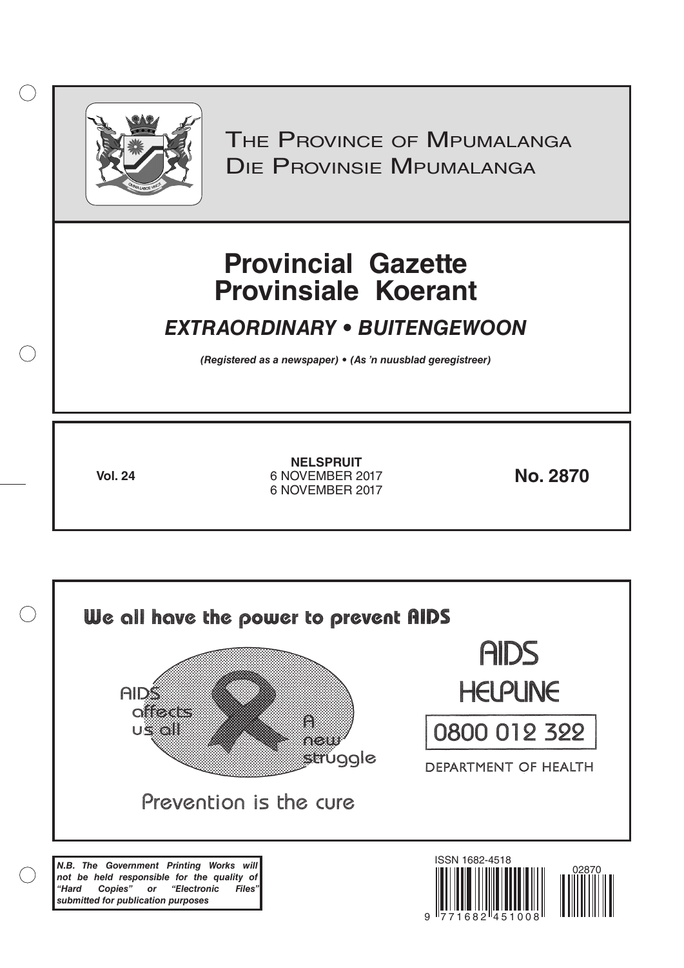

 $( )$ 

THE PROVINCE OF MPUMALANGA Die Provinsie Mpumalanga

# **Provincial Gazette Provinsiale Koerant**

# *EXTRAORDINARY • BUITENGEWOON*

*(Registered as a newspaper) • (As 'n nuusblad geregistreer)*

**Vol. 24 No. 2870** 6 NOVEMBER 2017 **NELSPRUIT** 6 NOVEMBER 2017

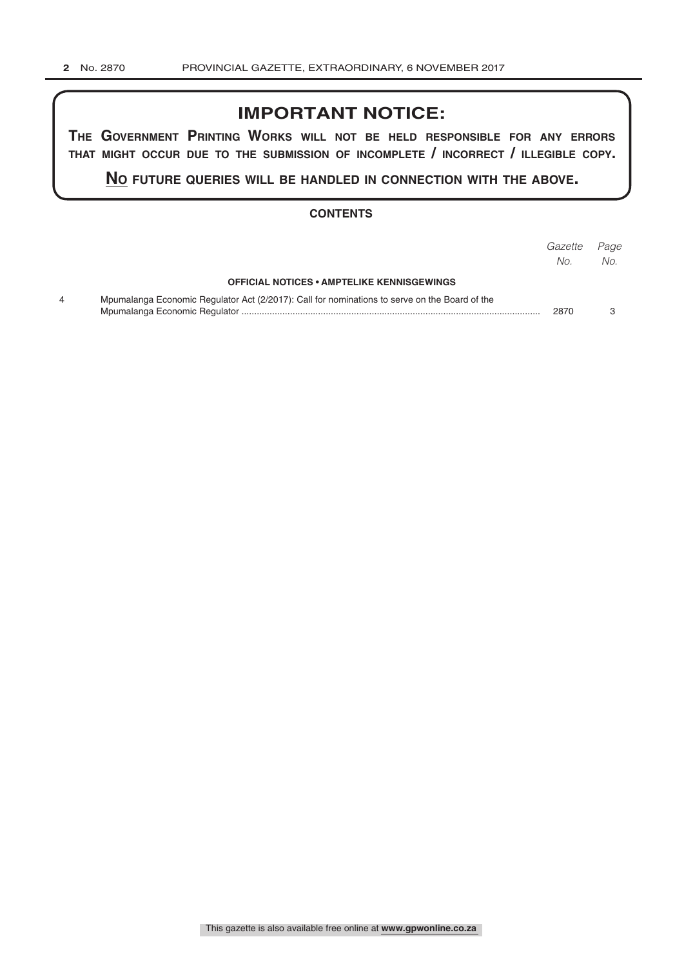### **IMPORTANT NOTICE:**

**The GovernmenT PrinTinG Works Will noT be held resPonsible for any errors ThaT miGhT occur due To The submission of incomPleTe / incorrecT / illeGible coPy.**

**no fuTure queries Will be handled in connecTion WiTh The above.**

#### **CONTENTS**

|                                                                                               | Gazette Page<br>No. | No. |
|-----------------------------------------------------------------------------------------------|---------------------|-----|
| <b>OFFICIAL NOTICES • AMPTELIKE KENNISGEWINGS</b>                                             |                     |     |
| Mpumalanga Economic Regulator Act (2/2017): Call for nominations to serve on the Board of the | 2870                |     |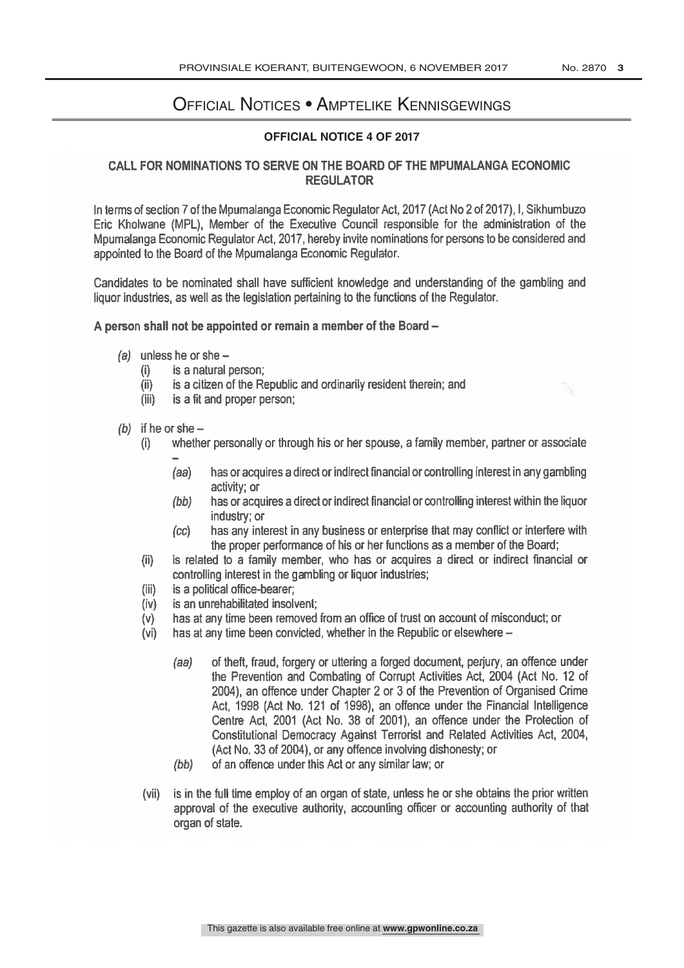## Official Notices • Amptelike Kennisgewings

#### **OFFICIAL NOTICE 4 OF 2017**

#### CALL FOR NOMINATIONS TO SERVE ON THE BOARD OF THE MPUMALANGA ECONOMIC **REGULATOR**

In terms of section 7 of the Mpumalanga Economic Regulator Act, 2017 (Act No 2 of 2017), I, Sikhumbuzo Eric Kholwane (MPL), Member of the Executive Council responsible for the administration of the Mpumalanga Economic Regulator Act, 2017, hereby invite nominations for persons to be considered and appointed to the Board of the Mpumalanga Economic Regulator.

Candidates to be nominated shall have sufficient knowledge and understanding of the gambling and liquor industries, as well as the legislation pertaining to the functions of the Regulator.

A person shall not be appointed or remain a member of the Board -

- (a) unless he or she -<br>(i) is a natural
	- $(i)$  is a natural person;<br> $(ii)$  is a citizen of the Re
	- (ii) is a citizen of the Republic and ordinarily resident therein; and  $(iii)$  is a fit and proper person:
	- is a fit and proper person;
- (b) if he or she  $-$ 
	- (i) whether personally or through his or her spouse, a family member, partner or associate
		- (aa) has or acquires a direct or indirect financial or controlling interest in any gambling activity; or
		- (bb) has or acquires a direct or indirect financial or controlling interest within the liquor industry; or
		- (cc) has any interest in any business or enterprise that may conflict or interfere with the proper performance of his or her functions as a member of the Board;
	- (ii) is related to a family member, who has or acquires a direct or indirect financial or controlling interest in the gambling or liquor industries;
	- (iii) is a political office-bearer;<br>(iv) is an unrehabilitated insolve
	- is an unrehabilitated insolvent;
	- (v) has at any time been removed from an office of trust on account of misconduct; or
	- (vi) has at any time been convicted, whether in the Republic or elsewhere  $-$ 
		- (aa) of theft, fraud, forgery or uttering a forged document, perjury, an offence under the Prevention and Combating of Corrupt Activities Act, 2004 (Act No. 12 of 2004), an offence under Chapter 2 or 3 of the Prevention of Organised Crime Act, 1998 (Act No. 121 of 1998), an offence under the Financial Intelligence Centre Act, 2001 (Act No. 38 of 2001), an offence under the Protection of Constitutional Democracy Against Terrorist and Related Activities Act, 2004, (Act No. 33 of 2004), or any offence involving dishonesty; or
		- (bb) of an offence under this Act or any similar law; or
	- (vii) is in the full time employ of an organ of state, unless he or she obtains the prior written approval of the executive authority, accounting officer or accounting authority of that organ of state.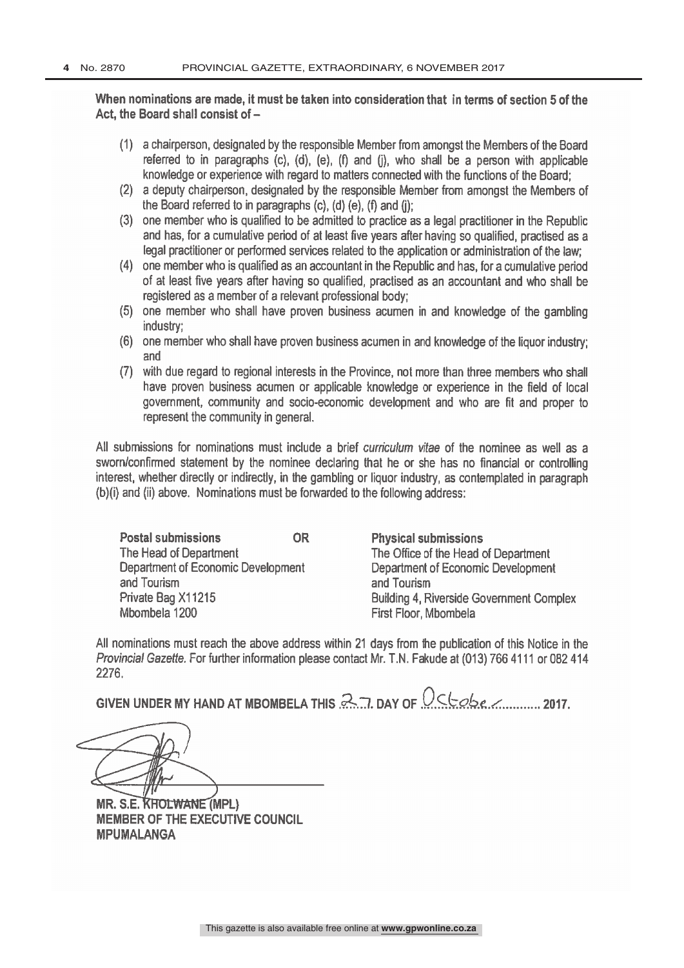When nominations are made, it must be taken into consideration that in terms of section 5 of the Act, the Board shall consist of  $-$ 

- (1) a chairperson, designated by the responsible Member from amongst the Members of the Board referred to in paragraphs (c), (d), (e), (f) and (j), who shall be a person with applicable knowledge or experience with regard to matters connected with the functions of the Board;
- a deputy chairperson, designated by the responsible Member from amongst the Members of (2) the Board referred to in paragraphs (c), (d) (e), (f) and (j);
- (3) one member who is qualified to be admitted to practice as a legal practitioner in the Republic and has, for a cumulative period of at least five years after having so qualified, practised as a legal practitioner or performed services related to the application or administration of the law;
- (4) one member who is qualified as an accountant in the Republic and has, for a cumulative period of at least five years after having so qualified, practised as an accountant and who shall be registered as a member of a relevant professional body;
- (5) one member who shall have proven business acumen in and knowledge of the gambling industry;
- (6) one member who shall have proven business acumen in and knowledge of the liquor industry; and
- with due regard to regional interests in the Province, not more than three members who shall (7) have proven business acumen or applicable knowledge or experience in the field of local government, community and socio- economic development and who are fit and proper to represent the community in general.

All submissions for nominations must include a brief curriculum vitae of the nominee as well as a sworn/confirmed statement by the nominee declaring that he or she has no financial or controlling interest, whether directly or indirectly, in the gambling or liquor industry, as contemplated in paragraph (b)(i) and (ii) above. Nominations must be forwarded to the following address:

Postal submissions The Head of Department Department of Economic Development and Tourism Private Bag X11215 Mbombela 1200

OR Physical submissions The Office of the Head of Department Department of Economic Development and Tourism Building 4, Riverside Government Complex First Floor, Mbombela

All nominations must reach the above address within 21 days from the publication of this Notice in the Provincia! Gazette. For further information please contact Mr. T.N. Fakude at (013) 766 4111 or 082 414 2276.

GIVEN UNDER MY HAND AT MBOMBELA THIS  $\mathbb{R}$ . 1. DAY OF  $\mathbb{Q}$ CCobe .............. 2017.

MR. S.E. KHOLWANE (MPL) MEMBER OF THE EXECUTIVE COUNCIL MPUMALANGA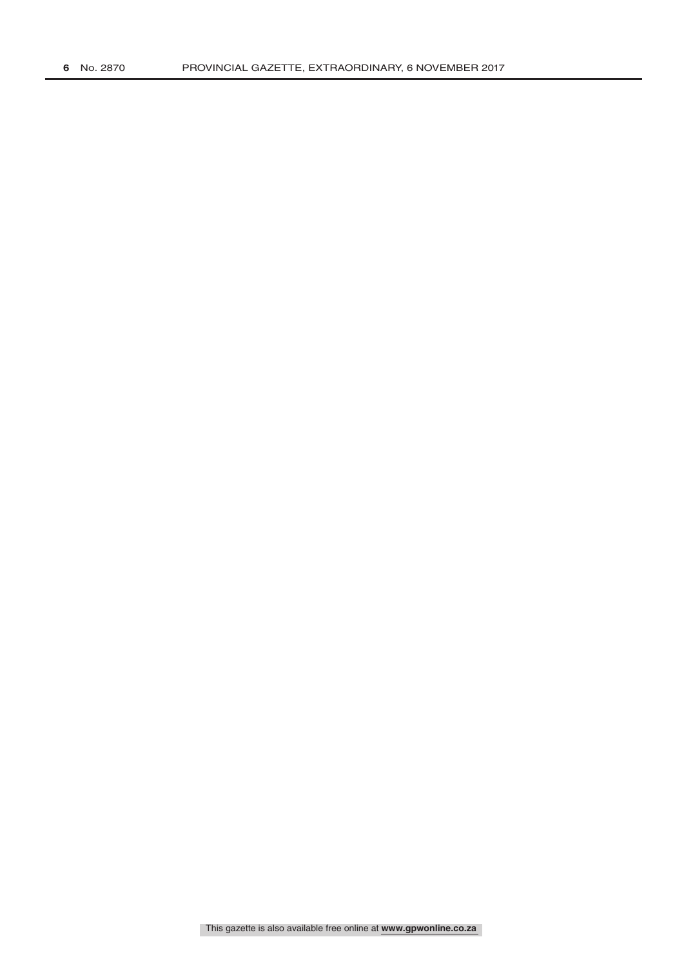This gazette is also available free online at **www.gpwonline.co.za**